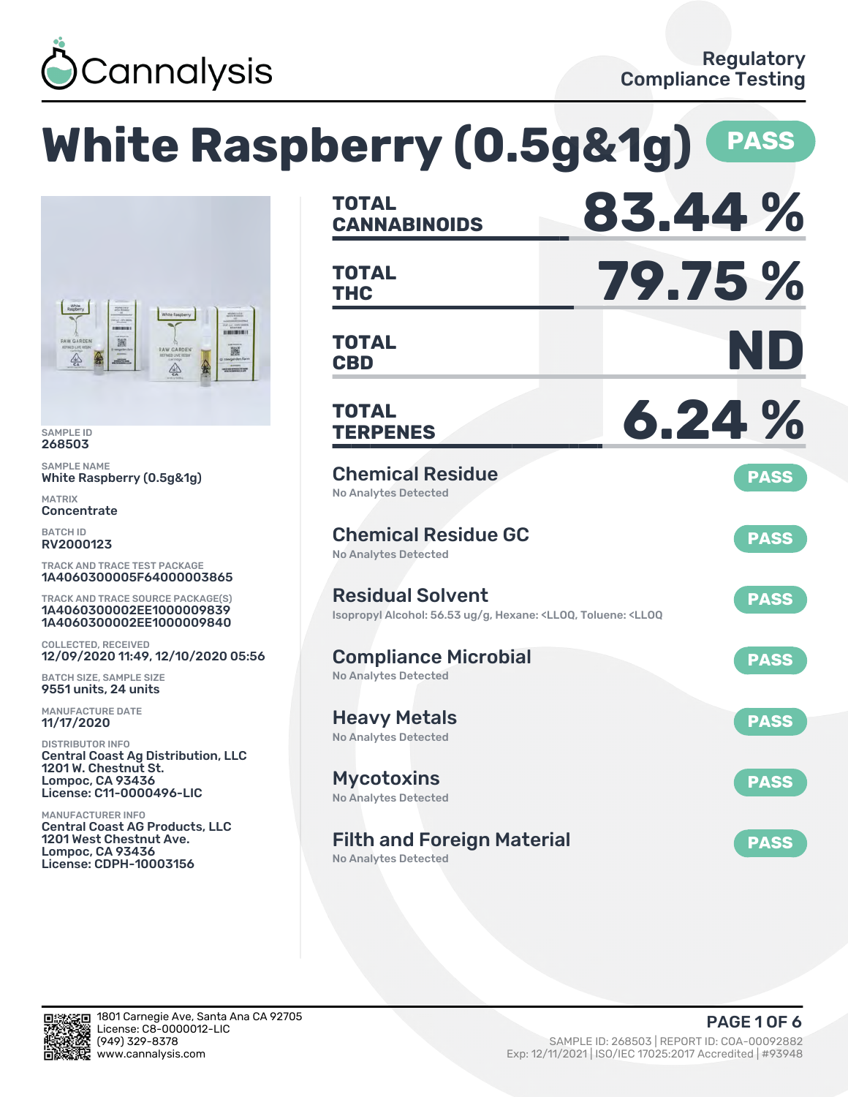

# **White Raspberry (0.5g&1g) PASS**



SAMPLE ID 268503

SAMPLE NAME White Raspberry (0.5g&1g)

MATRIX **Concentrate** 

BATCH ID RV2000123

TRACK AND TRACE TEST PACKAGE 1A4060300005F64000003865

TRACK AND TRACE SOURCE PACKAGE(S) 1A4060300002EE1000009839 1A4060300002EE1000009840

COLLECTED, RECEIVED 12/09/2020 11:49, 12/10/2020 05:56

BATCH SIZE, SAMPLE SIZE 9551 units, 24 units

MANUFACTURE DATE 11/17/2020

DISTRIBUTOR INFO Central Coast Ag Distribution, LLC 1201 W. Chestnut St. Lompoc, CA 93436 License: C11-0000496-LIC

MANUFACTURER INFO Central Coast AG Products, LLC 1201 West Chestnut Ave. Lompoc, CA 93436 License: CDPH-10003156

| <b>TOTAL</b><br><b>CANNABINOIDS</b>                                                                                               | 83.44%      |
|-----------------------------------------------------------------------------------------------------------------------------------|-------------|
| <b>TOTAL</b><br><b>THC</b>                                                                                                        | 79.75%      |
| TOTAL<br><b>CBD</b>                                                                                                               | ND          |
| <b>TOTAL</b><br><b>TERPENES</b>                                                                                                   | 6.24%       |
| <b>Chemical Residue</b><br><b>No Analytes Detected</b>                                                                            | <b>PASS</b> |
| <b>Chemical Residue GC</b><br><b>No Analytes Detected</b>                                                                         | <b>PASS</b> |
| <b>Residual Solvent</b><br>Isopropyl Alcohol: 56.53 ug/g, Hexane: <ll0q, <ll0q<="" td="" toluene:=""><td><b>PASS</b></td></ll0q,> | <b>PASS</b> |
| <b>Compliance Microbial</b><br><b>No Analytes Detected</b>                                                                        | <b>PASS</b> |
| <b>Heavy Metals</b><br><b>No Analytes Detected</b>                                                                                | <b>PASS</b> |
| <b>Mycotoxins</b><br>No Analytes Detected                                                                                         | <b>PASS</b> |
| <b>Filth and Foreign Material</b><br><b>No Analytes Detected</b>                                                                  | <b>PASS</b> |

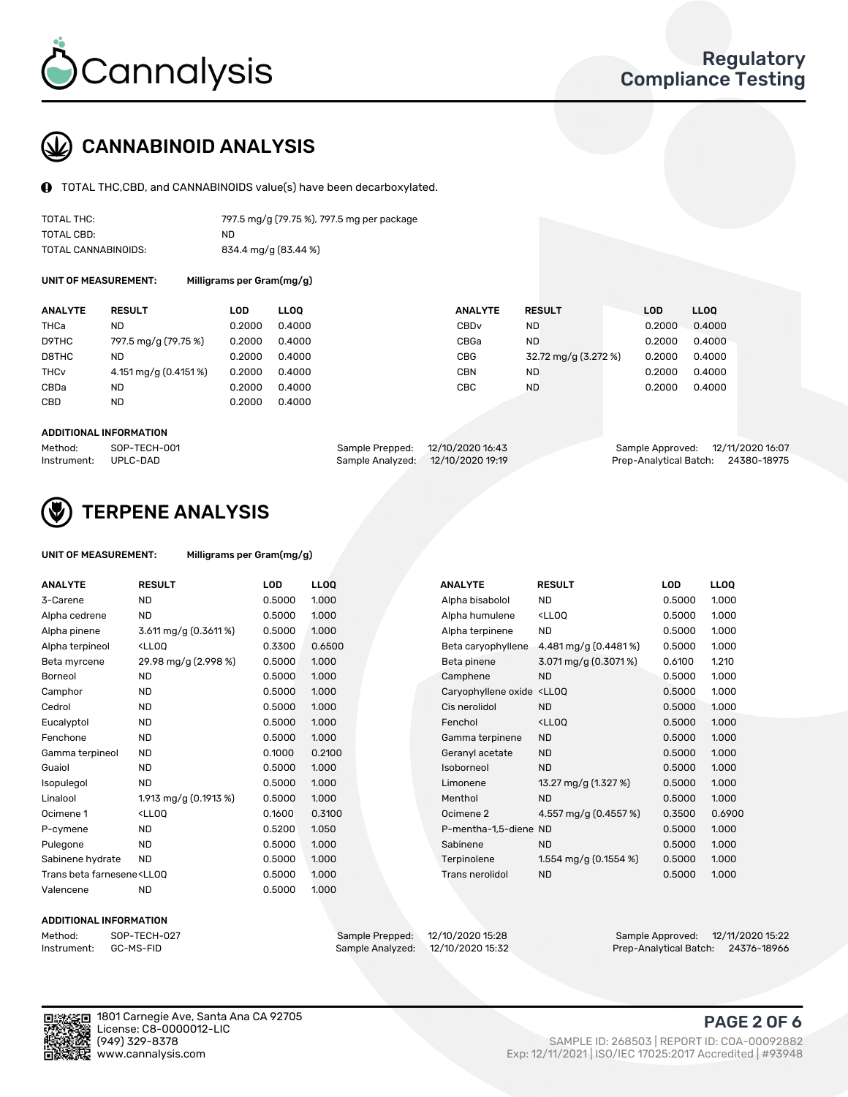

## CANNABINOID ANALYSIS

TOTAL THC,CBD, and CANNABINOIDS value(s) have been decarboxylated.

| TOTAL THC:          | 797.5 mg/g (79.75 %), 797.5 mg per package |
|---------------------|--------------------------------------------|
| TOTAL CBD:          | ND.                                        |
| TOTAL CANNABINOIDS: | 834.4 mg/g (83.44 %)                       |

UNIT OF MEASUREMENT: Milligrams per Gram(mg/g)

| <b>ANALYTE</b>         | <b>RESULT</b>         | LOD    | <b>LLOO</b> | <b>ANALYTE</b>   | <b>RESULT</b>        | <b>LOD</b> | <b>LLOO</b> |
|------------------------|-----------------------|--------|-------------|------------------|----------------------|------------|-------------|
| THCa                   | ND                    | 0.2000 | 0.4000      | CBD <sub>v</sub> | ND.                  | 0.2000     | 0.4000      |
| D9THC                  | 797.5 mg/g (79.75 %)  | 0.2000 | 0.4000      | CBGa             | <b>ND</b>            | 0.2000     | 0.4000      |
| D8THC                  | ND                    | 0.2000 | 0.4000      | <b>CBG</b>       | 32.72 mg/g (3.272 %) | 0.2000     | 0.4000      |
| <b>THC<sub>v</sub></b> | 4.151 mg/g (0.4151 %) | 0.2000 | 0.4000      | CBN              | ND.                  | 0.2000     | 0.4000      |
| CBDa                   | ND                    | 0.2000 | 0.4000      | CBC              | <b>ND</b>            | 0.2000     | 0.4000      |
| <b>CBD</b>             | <b>ND</b>             | 0.2000 | 0.4000      |                  |                      |            |             |
|                        |                       |        |             |                  |                      |            |             |

#### ADDITIONAL INFORMATION

| Method:              | SOP-TECH-001 | Sample Prepped: 12/10/2020 16:43  | Sample Approved: 12/11/2020 16:07  |  |
|----------------------|--------------|-----------------------------------|------------------------------------|--|
| Instrument: UPLC-DAD |              | Sample Analyzed: 12/10/2020 19:19 | Prep-Analytical Batch: 24380-18975 |  |



## TERPENE ANALYSIS

| UNIT OF MEASUREMENT: | Milligrams per Gram(mg/g) |
|----------------------|---------------------------|
|                      |                           |

| <b>ANALYTE</b>                                                                                                                                          | <b>RESULT</b>                                                                                                                            | <b>LOD</b> | LLOQ   | <b>ANALYTE</b>                                                                  | <b>RESULT</b>                                      | <b>LOD</b> | <b>LLOQ</b> |
|---------------------------------------------------------------------------------------------------------------------------------------------------------|------------------------------------------------------------------------------------------------------------------------------------------|------------|--------|---------------------------------------------------------------------------------|----------------------------------------------------|------------|-------------|
| 3-Carene                                                                                                                                                | <b>ND</b>                                                                                                                                | 0.5000     | 1.000  | Alpha bisabolol                                                                 | <b>ND</b>                                          | 0.5000     | 1.000       |
| Alpha cedrene                                                                                                                                           | <b>ND</b>                                                                                                                                | 0.5000     | 1.000  | Alpha humulene                                                                  | <ll0q< td=""><td>0.5000</td><td>1.000</td></ll0q<> | 0.5000     | 1.000       |
| Alpha pinene                                                                                                                                            | 3.611 mg/g (0.3611 %)                                                                                                                    | 0.5000     | 1.000  | Alpha terpinene                                                                 | <b>ND</b>                                          | 0.5000     | 1.000       |
| Alpha terpineol                                                                                                                                         | <ll0q< td=""><td>0.3300</td><td>0.6500</td><td>Beta caryophyllene</td><td>4.481 mg/g (0.4481%)</td><td>0.5000</td><td>1.000</td></ll0q<> | 0.3300     | 0.6500 | Beta caryophyllene                                                              | 4.481 mg/g (0.4481%)                               | 0.5000     | 1.000       |
| Beta myrcene                                                                                                                                            | 29.98 mg/g (2.998 %)                                                                                                                     | 0.5000     | 1.000  | Beta pinene                                                                     | $3.071$ mg/g (0.3071 %)                            | 0.6100     | 1.210       |
| <b>Borneol</b>                                                                                                                                          | <b>ND</b>                                                                                                                                | 0.5000     | 1.000  | Camphene                                                                        | <b>ND</b>                                          | 0.5000     | 1.000       |
| Camphor                                                                                                                                                 | <b>ND</b>                                                                                                                                | 0.5000     | 1.000  | Caryophyllene oxide <ll0q< td=""><td></td><td>0.5000</td><td>1.000</td></ll0q<> |                                                    | 0.5000     | 1.000       |
| Cedrol                                                                                                                                                  | <b>ND</b>                                                                                                                                | 0.5000     | 1.000  | Cis nerolidol                                                                   | <b>ND</b>                                          | 0.5000     | 1.000       |
| Eucalyptol                                                                                                                                              | <b>ND</b>                                                                                                                                | 0.5000     | 1.000  | Fenchol                                                                         | <ll0q< td=""><td>0.5000</td><td>1.000</td></ll0q<> | 0.5000     | 1.000       |
| Fenchone                                                                                                                                                | <b>ND</b>                                                                                                                                | 0.5000     | 1.000  | Gamma terpinene                                                                 | <b>ND</b>                                          | 0.5000     | 1.000       |
| Gamma terpineol                                                                                                                                         | <b>ND</b>                                                                                                                                | 0.1000     | 0.2100 | Geranyl acetate                                                                 | <b>ND</b>                                          | 0.5000     | 1.000       |
| Guaiol                                                                                                                                                  | <b>ND</b>                                                                                                                                | 0.5000     | 1.000  | Isoborneol                                                                      | <b>ND</b>                                          | 0.5000     | 1.000       |
| Isopulegol                                                                                                                                              | <b>ND</b>                                                                                                                                | 0.5000     | 1.000  | Limonene                                                                        | 13.27 mg/g (1.327 %)                               | 0.5000     | 1.000       |
| Linalool                                                                                                                                                | 1.913 mg/g (0.1913 %)                                                                                                                    | 0.5000     | 1.000  | Menthol                                                                         | <b>ND</b>                                          | 0.5000     | 1.000       |
| Ocimene 1                                                                                                                                               | <ll0q< td=""><td>0.1600</td><td>0.3100</td><td>Ocimene 2</td><td>4.557 mg/g (0.4557 %)</td><td>0.3500</td><td>0.6900</td></ll0q<>        | 0.1600     | 0.3100 | Ocimene 2                                                                       | 4.557 mg/g (0.4557 %)                              | 0.3500     | 0.6900      |
| P-cymene                                                                                                                                                | <b>ND</b>                                                                                                                                | 0.5200     | 1.050  | P-mentha-1.5-diene ND                                                           |                                                    | 0.5000     | 1.000       |
| Pulegone                                                                                                                                                | <b>ND</b>                                                                                                                                | 0.5000     | 1.000  | Sabinene                                                                        | <b>ND</b>                                          | 0.5000     | 1.000       |
| Sabinene hydrate                                                                                                                                        | <b>ND</b>                                                                                                                                | 0.5000     | 1.000  | Terpinolene                                                                     | 1.554 mg/g $(0.1554\%)$                            | 0.5000     | 1.000       |
| Trans beta farnesene <ll00< td=""><td></td><td>0.5000</td><td>1.000</td><td>Trans nerolidol</td><td><b>ND</b></td><td>0.5000</td><td>1.000</td></ll00<> |                                                                                                                                          | 0.5000     | 1.000  | Trans nerolidol                                                                 | <b>ND</b>                                          | 0.5000     | 1.000       |
| Valencene                                                                                                                                               | <b>ND</b>                                                                                                                                | 0.5000     | 1.000  |                                                                                 |                                                    |            |             |

#### ADDITIONAL INFORMATION



Sample Analyzed: 12/10/2020 15:32

Method: SOP-TECH-027 Sample Prepped: 12/10/2020 15:28 Sample Approved: 12/11/2020 15:22

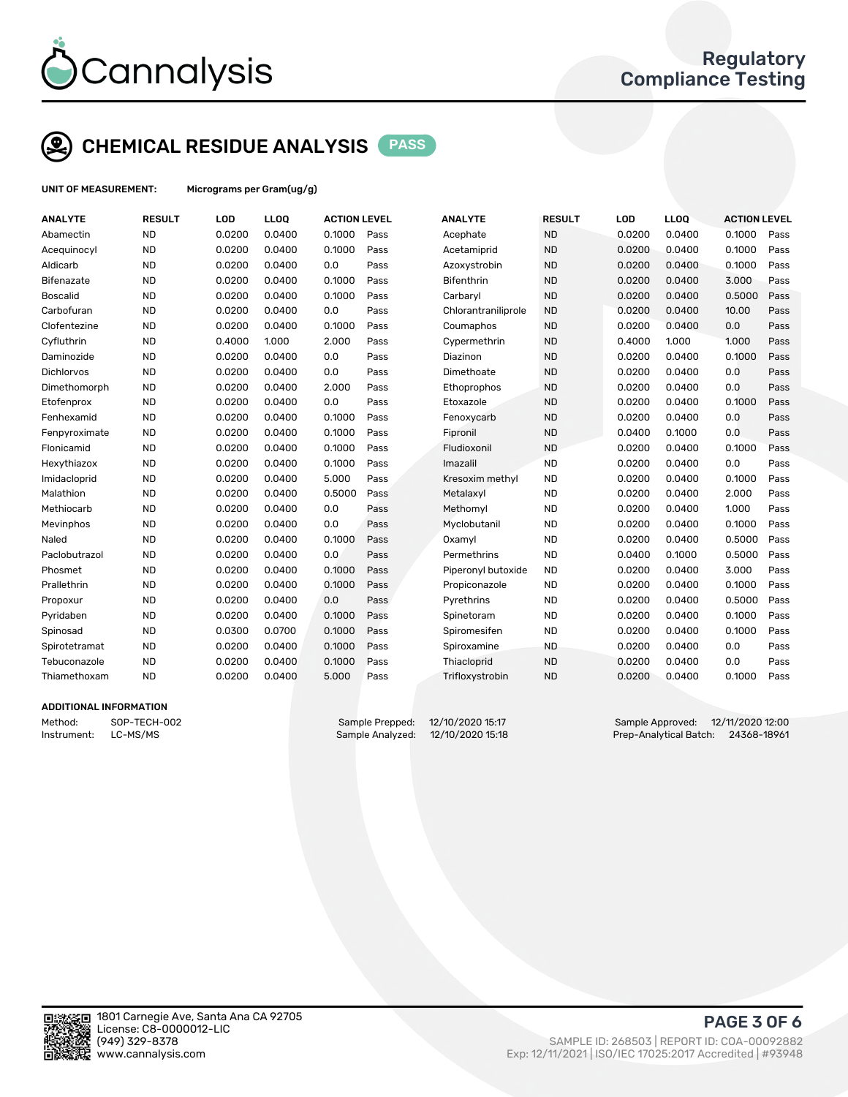

## CHEMICAL RESIDUE ANALYSIS PASS

UNIT OF MEASUREMENT: Micrograms per Gram(ug/g)

| <b>ANALYTE</b>    | <b>RESULT</b> | LOD    | LLOQ   | <b>ACTION LEVEL</b> |      | <b>ANALYTE</b>      | <b>RESULT</b> | LOD    | LLOQ   | <b>ACTION LEVEL</b> |      |
|-------------------|---------------|--------|--------|---------------------|------|---------------------|---------------|--------|--------|---------------------|------|
| Abamectin         | <b>ND</b>     | 0.0200 | 0.0400 | 0.1000              | Pass | Acephate            | <b>ND</b>     | 0.0200 | 0.0400 | 0.1000              | Pass |
| Acequinocyl       | <b>ND</b>     | 0.0200 | 0.0400 | 0.1000              | Pass | Acetamiprid         | <b>ND</b>     | 0.0200 | 0.0400 | 0.1000              | Pass |
| Aldicarb          | <b>ND</b>     | 0.0200 | 0.0400 | 0.0                 | Pass | Azoxystrobin        | <b>ND</b>     | 0.0200 | 0.0400 | 0.1000              | Pass |
| <b>Bifenazate</b> | <b>ND</b>     | 0.0200 | 0.0400 | 0.1000              | Pass | <b>Bifenthrin</b>   | <b>ND</b>     | 0.0200 | 0.0400 | 3.000               | Pass |
| <b>Boscalid</b>   | <b>ND</b>     | 0.0200 | 0.0400 | 0.1000              | Pass | Carbaryl            | <b>ND</b>     | 0.0200 | 0.0400 | 0.5000              | Pass |
| Carbofuran        | <b>ND</b>     | 0.0200 | 0.0400 | 0.0                 | Pass | Chlorantraniliprole | <b>ND</b>     | 0.0200 | 0.0400 | 10.00               | Pass |
| Clofentezine      | <b>ND</b>     | 0.0200 | 0.0400 | 0.1000              | Pass | Coumaphos           | <b>ND</b>     | 0.0200 | 0.0400 | 0.0                 | Pass |
| Cyfluthrin        | <b>ND</b>     | 0.4000 | 1.000  | 2.000               | Pass | Cypermethrin        | <b>ND</b>     | 0.4000 | 1.000  | 1.000               | Pass |
| Daminozide        | <b>ND</b>     | 0.0200 | 0.0400 | 0.0                 | Pass | Diazinon            | <b>ND</b>     | 0.0200 | 0.0400 | 0.1000              | Pass |
| <b>Dichlorvos</b> | <b>ND</b>     | 0.0200 | 0.0400 | 0.0                 | Pass | Dimethoate          | <b>ND</b>     | 0.0200 | 0.0400 | 0.0                 | Pass |
| Dimethomorph      | <b>ND</b>     | 0.0200 | 0.0400 | 2.000               | Pass | Ethoprophos         | <b>ND</b>     | 0.0200 | 0.0400 | 0.0                 | Pass |
| Etofenprox        | <b>ND</b>     | 0.0200 | 0.0400 | 0.0                 | Pass | Etoxazole           | <b>ND</b>     | 0.0200 | 0.0400 | 0.1000              | Pass |
| Fenhexamid        | <b>ND</b>     | 0.0200 | 0.0400 | 0.1000              | Pass | Fenoxycarb          | <b>ND</b>     | 0.0200 | 0.0400 | 0.0                 | Pass |
| Fenpyroximate     | <b>ND</b>     | 0.0200 | 0.0400 | 0.1000              | Pass | Fipronil            | <b>ND</b>     | 0.0400 | 0.1000 | 0.0                 | Pass |
| Flonicamid        | <b>ND</b>     | 0.0200 | 0.0400 | 0.1000              | Pass | Fludioxonil         | <b>ND</b>     | 0.0200 | 0.0400 | 0.1000              | Pass |
| Hexythiazox       | <b>ND</b>     | 0.0200 | 0.0400 | 0.1000              | Pass | Imazalil            | <b>ND</b>     | 0.0200 | 0.0400 | 0.0                 | Pass |
| Imidacloprid      | <b>ND</b>     | 0.0200 | 0.0400 | 5.000               | Pass | Kresoxim methyl     | <b>ND</b>     | 0.0200 | 0.0400 | 0.1000              | Pass |
| Malathion         | <b>ND</b>     | 0.0200 | 0.0400 | 0.5000              | Pass | Metalaxyl           | <b>ND</b>     | 0.0200 | 0.0400 | 2.000               | Pass |
| Methiocarb        | <b>ND</b>     | 0.0200 | 0.0400 | 0.0                 | Pass | Methomyl            | <b>ND</b>     | 0.0200 | 0.0400 | 1.000               | Pass |
| Mevinphos         | <b>ND</b>     | 0.0200 | 0.0400 | 0.0                 | Pass | Myclobutanil        | <b>ND</b>     | 0.0200 | 0.0400 | 0.1000              | Pass |
| Naled             | <b>ND</b>     | 0.0200 | 0.0400 | 0.1000              | Pass | Oxamyl              | <b>ND</b>     | 0.0200 | 0.0400 | 0.5000              | Pass |
| Paclobutrazol     | <b>ND</b>     | 0.0200 | 0.0400 | 0.0                 | Pass | Permethrins         | <b>ND</b>     | 0.0400 | 0.1000 | 0.5000              | Pass |
| Phosmet           | <b>ND</b>     | 0.0200 | 0.0400 | 0.1000              | Pass | Piperonyl butoxide  | <b>ND</b>     | 0.0200 | 0.0400 | 3.000               | Pass |
| Prallethrin       | <b>ND</b>     | 0.0200 | 0.0400 | 0.1000              | Pass | Propiconazole       | <b>ND</b>     | 0.0200 | 0.0400 | 0.1000              | Pass |
| Propoxur          | <b>ND</b>     | 0.0200 | 0.0400 | 0.0                 | Pass | Pyrethrins          | <b>ND</b>     | 0.0200 | 0.0400 | 0.5000              | Pass |
| Pyridaben         | <b>ND</b>     | 0.0200 | 0.0400 | 0.1000              | Pass | Spinetoram          | <b>ND</b>     | 0.0200 | 0.0400 | 0.1000              | Pass |
| Spinosad          | <b>ND</b>     | 0.0300 | 0.0700 | 0.1000              | Pass | Spiromesifen        | <b>ND</b>     | 0.0200 | 0.0400 | 0.1000              | Pass |
| Spirotetramat     | <b>ND</b>     | 0.0200 | 0.0400 | 0.1000              | Pass | Spiroxamine         | <b>ND</b>     | 0.0200 | 0.0400 | 0.0                 | Pass |
| Tebuconazole      | <b>ND</b>     | 0.0200 | 0.0400 | 0.1000              | Pass | Thiacloprid         | <b>ND</b>     | 0.0200 | 0.0400 | 0.0                 | Pass |
| Thiamethoxam      | <b>ND</b>     | 0.0200 | 0.0400 | 5.000               | Pass | Trifloxystrobin     | <b>ND</b>     | 0.0200 | 0.0400 | 0.1000              | Pass |
|                   |               |        |        |                     |      |                     |               |        |        |                     |      |

### ADDITIONAL INFORMATION

Method: SOP-TECH-002 Sample Prepped: 12/10/2020 15:17 Sample Approved: 12/11/2020 12:00 Instrument: LC-MS/MS Sample Analyzed: 12/10/2020 15:18 Prep-Analytical Batch: 24368-18961



PAGE 3 OF 6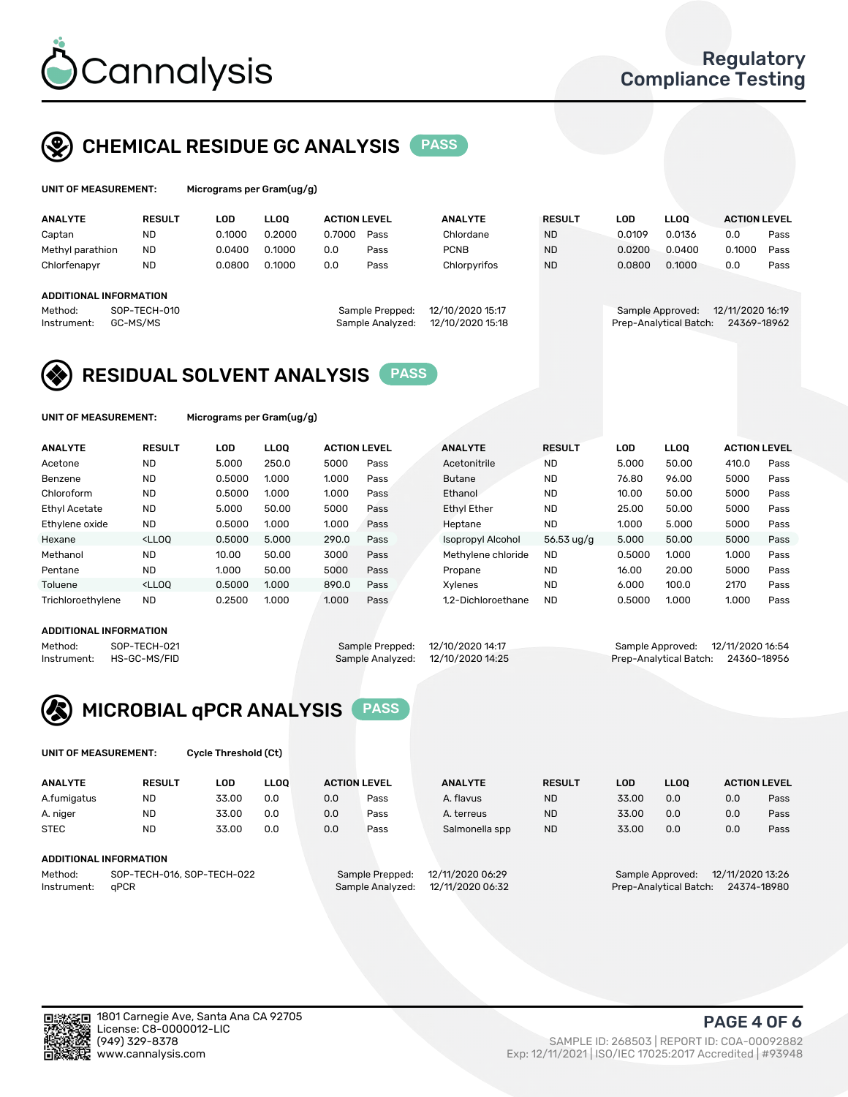

## CHEMICAL RESIDUE GC ANALYSIS PASS

| UNIT OF MEASUREMENT: | Microgra |
|----------------------|----------|
|                      |          |

ims per Gram(ug/g)

| <b>ANALYTE</b>                                          | <b>RESULT</b>            | LOD    | <b>LLOO</b> | <b>ACTION LEVEL</b> |                                     | <b>ANALYTE</b>                       | <b>RESULT</b> | LOD              | <b>LLOO</b>            | <b>ACTION LEVEL</b>             |      |
|---------------------------------------------------------|--------------------------|--------|-------------|---------------------|-------------------------------------|--------------------------------------|---------------|------------------|------------------------|---------------------------------|------|
| Captan                                                  | ND                       | 0.1000 | 0.2000      | 0.7000              | Pass                                | Chlordane                            | <b>ND</b>     | 0.0109           | 0.0136                 | 0.0                             | Pass |
| Methyl parathion                                        | <b>ND</b>                | 0.0400 | 0.1000      | 0.0                 | Pass                                | <b>PCNB</b>                          | <b>ND</b>     | 0.0200           | 0.0400                 | 0.1000                          | Pass |
| Chlorfenapyr                                            | <b>ND</b>                | 0.0800 | 0.1000      | 0.0                 | Pass                                | Chlorpyrifos                         | <b>ND</b>     | 0.0800           | 0.1000                 | 0.0                             | Pass |
| <b>ADDITIONAL INFORMATION</b><br>Method:<br>Instrument: | SOP-TECH-010<br>GC-MS/MS |        |             |                     | Sample Prepped:<br>Sample Analyzed: | 12/10/2020 15:17<br>12/10/2020 15:18 |               | Sample Approved: | Prep-Analytical Batch: | 12/11/2020 16:19<br>24369-18962 |      |

## RESIDUAL SOLVENT ANALYSIS PASS

UNIT OF MEASUREMENT: Micrograms per Gram(ug/g)

| <b>ANALYTE</b>       | <b>RESULT</b>                                                                                                                                                                                         | LOD    | <b>LLOO</b> | <b>ACTION LEVEL</b> |      | <b>ANALYTE</b>     | <b>RESULT</b>        | LOD    | <b>LLOO</b> | <b>ACTION LEVEL</b> |      |
|----------------------|-------------------------------------------------------------------------------------------------------------------------------------------------------------------------------------------------------|--------|-------------|---------------------|------|--------------------|----------------------|--------|-------------|---------------------|------|
| Acetone              | <b>ND</b>                                                                                                                                                                                             | 5.000  | 250.0       | 5000                | Pass | Acetonitrile       | <b>ND</b>            | 5.000  | 50.00       | 410.0               | Pass |
| Benzene              | <b>ND</b>                                                                                                                                                                                             | 0.5000 | 1.000       | 1.000               | Pass | <b>Butane</b>      | <b>ND</b>            | 76.80  | 96.00       | 5000                | Pass |
| Chloroform           | <b>ND</b>                                                                                                                                                                                             | 0.5000 | 1.000       | 1.000               | Pass | Ethanol            | <b>ND</b>            | 10.00  | 50.00       | 5000                | Pass |
| <b>Ethyl Acetate</b> | <b>ND</b>                                                                                                                                                                                             | 5.000  | 50.00       | 5000                | Pass | <b>Ethyl Ether</b> | <b>ND</b>            | 25.00  | 50.00       | 5000                | Pass |
| Ethylene oxide       | <b>ND</b>                                                                                                                                                                                             | 0.5000 | 1.000       | 1.000               | Pass | Heptane            | <b>ND</b>            | 1.000  | 5.000       | 5000                | Pass |
| Hexane               | <lloo< td=""><td>0.5000</td><td>5.000</td><td>290.0</td><td>Pass</td><td>Isopropyl Alcohol</td><td>56.53 <math>\frac{10}{9}</math></td><td>5.000</td><td>50.00</td><td>5000</td><td>Pass</td></lloo<> | 0.5000 | 5.000       | 290.0               | Pass | Isopropyl Alcohol  | 56.53 $\frac{10}{9}$ | 5.000  | 50.00       | 5000                | Pass |
| Methanol             | <b>ND</b>                                                                                                                                                                                             | 10.00  | 50.00       | 3000                | Pass | Methylene chloride | <b>ND</b>            | 0.5000 | 1.000       | 1.000               | Pass |
| Pentane              | <b>ND</b>                                                                                                                                                                                             | 1.000  | 50.00       | 5000                | Pass | Propane            | <b>ND</b>            | 16.00  | 20.00       | 5000                | Pass |
| Toluene              | <lloo< td=""><td>0.5000</td><td>1.000</td><td>890.0</td><td>Pass</td><td>Xvlenes</td><td><b>ND</b></td><td>6.000</td><td>100.0</td><td>2170</td><td>Pass</td></lloo<>                                 | 0.5000 | 1.000       | 890.0               | Pass | Xvlenes            | <b>ND</b>            | 6.000  | 100.0       | 2170                | Pass |
| Trichloroethylene    | <b>ND</b>                                                                                                                                                                                             | 0.2500 | 1.000       | 1.000               | Pass | 1.2-Dichloroethane | <b>ND</b>            | 0.5000 | 1.000       | 1.000               | Pass |

#### ADDITIONAL INFORMATION

| ADDITIONAL INFORMATION |              |                                   |                                    |
|------------------------|--------------|-----------------------------------|------------------------------------|
| Method:                | SOP-TECH-021 | Sample Prepped: 12/10/2020 14:17  | Sample Approved: 12/11/2020 16:54  |
| Instrument:            | HS-GC-MS/FID | Sample Analyzed: 12/10/2020 14:25 | Prep-Analytical Batch: 24360-18956 |



UNIT OF MEASUREMENT: Cycle Threshold (Ct)

| <b>ANALYTE</b>              | <b>RESULT</b>                  | LOD   | <b>LLOO</b> |        | <b>ACTION LEVEL</b> | <b>ANALYTE</b> | <b>RESULT</b> | LOD     | <b>LLOO</b> |     | <b>ACTION LEVEL</b> |
|-----------------------------|--------------------------------|-------|-------------|--------|---------------------|----------------|---------------|---------|-------------|-----|---------------------|
| A.fumigatus                 | <b>ND</b>                      | 33.00 | 0.0         | 0.0    | Pass                | A. flavus      | <b>ND</b>     | 33.00   | 0.0         | 0.0 | Pass                |
| A. niger                    | <b>ND</b>                      | 33.00 | 0.0         | 0.0    | Pass                | A. terreus     | <b>ND</b>     | 33.00   | 0.0         | 0.0 | Pass                |
| <b>STEC</b>                 | <b>ND</b>                      | 33.00 | 0.0         | 0.0    | Pass                | Salmonella spp | <b>ND</b>     | 33.00   | 0.0         | 0.0 | Pass                |
| ADDITIONAL INFORMATION<br>. | --- ---- - - - - -- --- -- - - |       |             | $\sim$ | .                   |                |               | _______ |             |     |                     |

Method: SOP-TECH-016, SOP-TECH-022 Sample Prepped: 12/11/2020 06:29 Sample Approved: 12/11/2020 13:26<br>Sample Analyzed: 12/11/2020 06:32 Prep-Analytical Batch: 24374-18980 Instrument: qPCR Sample Analyzed: 12/11/2020 06:32 Prep-Analytical Batch: 24374-18980

PAGE 4 OF 6

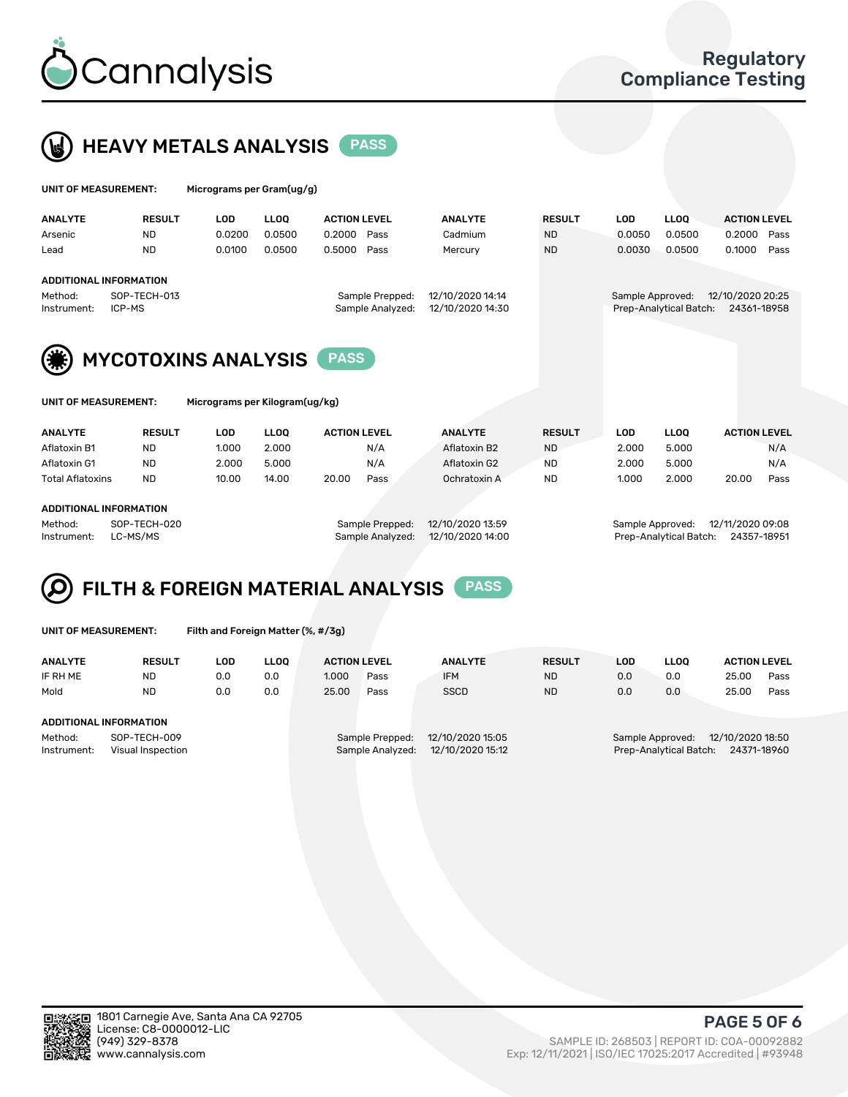



| UNIT OF MEASUREMENT:   |                               | Micrograms per Gram(ug/g) |             |                     |                                     |                                      |               |                  |                        |                                 |      |
|------------------------|-------------------------------|---------------------------|-------------|---------------------|-------------------------------------|--------------------------------------|---------------|------------------|------------------------|---------------------------------|------|
| <b>ANALYTE</b>         | <b>RESULT</b>                 | <b>LOD</b>                | <b>LLOO</b> | <b>ACTION LEVEL</b> |                                     | <b>ANALYTE</b>                       | <b>RESULT</b> | <b>LOD</b>       | <b>LLOQ</b>            | <b>ACTION LEVEL</b>             |      |
| Arsenic                | <b>ND</b>                     | 0.0200                    | 0.0500      | 0.2000              | Pass                                | Cadmium                              | <b>ND</b>     | 0.0050           | 0.0500                 | 0.2000                          | Pass |
| Lead                   | <b>ND</b>                     | 0.0100                    | 0.0500      | 0.5000              | Pass                                | Mercury                              | <b>ND</b>     | 0.0030           | 0.0500                 | 0.1000                          | Pass |
|                        | <b>ADDITIONAL INFORMATION</b> |                           |             |                     |                                     |                                      |               |                  |                        |                                 |      |
| Method:<br>Instrument: | SOP-TECH-013<br>ICP-MS        |                           |             |                     | Sample Prepped:<br>Sample Analyzed: | 12/10/2020 14:14<br>12/10/2020 14:30 |               | Sample Approved: | Prep-Analytical Batch: | 12/10/2020 20:25<br>24361-18958 |      |
| (*)                    | <b>MYCOTOXINS ANALYSIS</b>    |                           |             | <b>PASS</b>         |                                     |                                      |               |                  |                        |                                 |      |

UNIT OF MEASUREMENT: Micrograms per Kilogram(ug/kg)

| <b>ANALYTE</b>          | <b>RESULT</b> | LOD   | <b>LLOO</b> | <b>ACTION LEVEL</b> | <b>ANALYTE</b> | <b>RESULT</b> | LOD   | <b>LLOO</b> | <b>ACTION LEVEL</b> |
|-------------------------|---------------|-------|-------------|---------------------|----------------|---------------|-------|-------------|---------------------|
| Aflatoxin B1            | <b>ND</b>     | 1.000 | 2.000       | N/A                 | Aflatoxin B2   | <b>ND</b>     | 2.000 | 5.000       | N/A                 |
| Aflatoxin G1            | <b>ND</b>     | 2.000 | 5.000       | N/A                 | Aflatoxin G2   | <b>ND</b>     | 2.000 | 5.000       | N/A                 |
| <b>Total Aflatoxins</b> | <b>ND</b>     | 10.00 | 14.00       | 20.00<br>Pass       | Ochratoxin A   | <b>ND</b>     | 1.000 | 2.000       | 20.00<br>Pass       |
| ADDITIONAL INFORMATION  |               |       |             |                     |                |               |       |             |                     |

#### ADDITIONAL INFORMATION

Method: SOP-TECH-020 Sample Prepped: 12/10/2020 13:59 Sample Approved: 12/11/2020 09:08 Instrument: LC-MS/MS Sample Analyzed: 12/10/2020 14:00 Prep-Analytical Batch: 24357-18951

# FILTH & FOREIGN MATERIAL ANALYSIS PASS

UNIT OF MEASUREMENT: Filth and Foreign Matter (%, #/3g)

| <b>ANALYTE</b>                                              | <b>RESULT</b> | LOD | <b>LLOO</b> | <b>ACTION LEVEL</b>                                                         |      | <b>ANALYTE</b> | <b>RESULT</b> | LOD                                                                           | <b>LLOO</b> | <b>ACTION LEVEL</b> |      |
|-------------------------------------------------------------|---------------|-----|-------------|-----------------------------------------------------------------------------|------|----------------|---------------|-------------------------------------------------------------------------------|-------------|---------------------|------|
| IF RH ME                                                    | <b>ND</b>     | 0.0 | 0.0         | 1.000                                                                       | Pass | <b>IFM</b>     | <b>ND</b>     | 0.0                                                                           | 0.0         | 25.00               | Pass |
| Mold                                                        | <b>ND</b>     | 0.0 | 0.0         | 25.00                                                                       | Pass | <b>SSCD</b>    | <b>ND</b>     | 0.0                                                                           | 0.0         | 25.00               | Pass |
| ADDITIONAL INFORMATION                                      |               |     |             |                                                                             |      |                |               |                                                                               |             |                     |      |
| SOP-TECH-009<br>Method:<br>Instrument:<br>Visual Inspection |               |     |             | 12/10/2020 15:05<br>Sample Prepped:<br>12/10/2020 15:12<br>Sample Analyzed: |      |                |               | 12/10/2020 18:50<br>Sample Approved:<br>24371-18960<br>Prep-Analytical Batch: |             |                     |      |